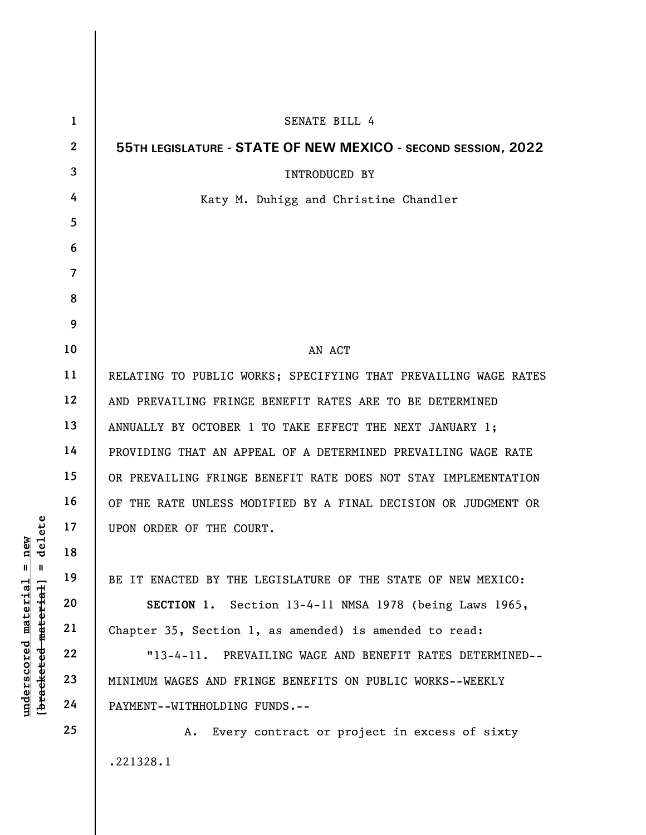|                                                | $\mathbf{1}$   | SENATE BILL 4                                                   |
|------------------------------------------------|----------------|-----------------------------------------------------------------|
|                                                | $\overline{2}$ | 55TH LEGISLATURE - STATE OF NEW MEXICO - SECOND SESSION, 2022   |
|                                                | 3              | <b>INTRODUCED BY</b>                                            |
|                                                | 4              | Katy M. Duhigg and Christine Chandler                           |
|                                                | 5              |                                                                 |
|                                                | 6              |                                                                 |
|                                                | $\overline{7}$ |                                                                 |
|                                                | 8              |                                                                 |
|                                                | 9              |                                                                 |
|                                                | 10             | AN ACT                                                          |
|                                                | 11             | RELATING TO PUBLIC WORKS; SPECIFYING THAT PREVAILING WAGE RATES |
|                                                | 12             | AND PREVAILING FRINGE BENEFIT RATES ARE TO BE DETERMINED        |
|                                                | 13             | ANNUALLY BY OCTOBER 1 TO TAKE EFFECT THE NEXT JANUARY 1;        |
|                                                | 14             | PROVIDING THAT AN APPEAL OF A DETERMINED PREVAILING WAGE RATE   |
|                                                | 15             | OR PREVAILING FRINGE BENEFIT RATE DOES NOT STAY IMPLEMENTATION  |
|                                                | 16             | OF THE RATE UNLESS MODIFIED BY A FINAL DECISION OR JUDGMENT OR  |
| elete                                          | 17             | UPON ORDER OF THE COURT.                                        |
| $n$ ew                                         | 18             |                                                                 |
| Ш<br>H                                         | 19             | BE IT ENACTED BY THE LEGISLATURE OF THE STATE OF NEW MEXICO:    |
| material                                       | 20             | Section 13-4-11 NMSA 1978 (being Laws 1965,<br>SECTION 1.       |
|                                                | 21             | Chapter 35, Section 1, as amended) is amended to read:          |
|                                                | 22             | "13-4-11. PREVAILING WAGE AND BENEFIT RATES DETERMINED--        |
| [ <del>bracketed material</del><br>underscored | 23             | MINIMUM WAGES AND FRINGE BENEFITS ON PUBLIC WORKS--WEEKLY       |
|                                                | 24             | PAYMENT--WITHHOLDING FUNDS.--                                   |
|                                                | 25             | Every contract or project in excess of sixty<br>Α.              |
|                                                |                | .221328.1                                                       |
|                                                |                |                                                                 |
|                                                |                |                                                                 |

 $\mathsf{I}$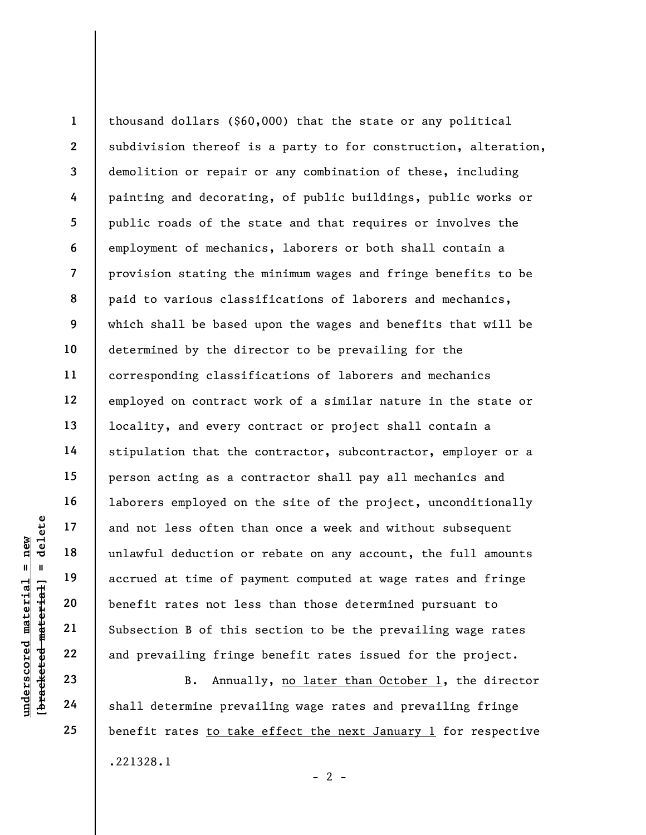understand material and not less often the<br>
unlawful deduction or<br>
accrued at time of pa<br>
benefit rates not les<br>
21<br>
unlawful deduction or<br>
accrued at time of pa<br>
benefit rates not les<br>
22<br>
subsection B of this<br>
23<br>
24<br>
sh 1 2 3 4 5 6 7 8 9 10 11 12 13 14 15 16 17 18 19 20 21 22 thousand dollars (\$60,000) that the state or any political subdivision thereof is a party to for construction, alteration, demolition or repair or any combination of these, including painting and decorating, of public buildings, public works or public roads of the state and that requires or involves the employment of mechanics, laborers or both shall contain a provision stating the minimum wages and fringe benefits to be paid to various classifications of laborers and mechanics, which shall be based upon the wages and benefits that will be determined by the director to be prevailing for the corresponding classifications of laborers and mechanics employed on contract work of a similar nature in the state or locality, and every contract or project shall contain a stipulation that the contractor, subcontractor, employer or a person acting as a contractor shall pay all mechanics and laborers employed on the site of the project, unconditionally and not less often than once a week and without subsequent unlawful deduction or rebate on any account, the full amounts accrued at time of payment computed at wage rates and fringe benefit rates not less than those determined pursuant to Subsection B of this section to be the prevailing wage rates and prevailing fringe benefit rates issued for the project.

B. Annually, no later than October 1, the director shall determine prevailing wage rates and prevailing fringe benefit rates to take effect the next January 1 for respective .221328.1  $- 2 -$ 

24 25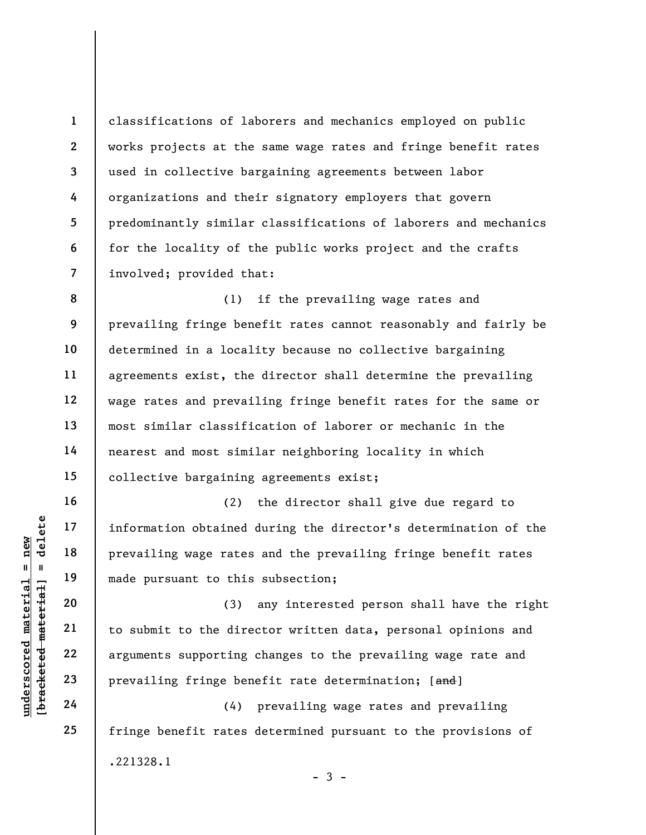classifications of laborers and mechanics employed on public works projects at the same wage rates and fringe benefit rates used in collective bargaining agreements between labor organizations and their signatory employers that govern predominantly similar classifications of laborers and mechanics for the locality of the public works project and the crafts involved; provided that:

8 9 10 11 12 13 14 15 (1) if the prevailing wage rates and prevailing fringe benefit rates cannot reasonably and fairly be determined in a locality because no collective bargaining agreements exist, the director shall determine the prevailing wage rates and prevailing fringe benefit rates for the same or most similar classification of laborer or mechanic in the nearest and most similar neighboring locality in which collective bargaining agreements exist;

(2) the director shall give due regard to information obtained during the director's determination of the prevailing wage rates and the prevailing fringe benefit rates made pursuant to this subsection;

underscored material = new [bracketed material] = delete (3) any interested person shall have the right to submit to the director written data, personal opinions and arguments supporting changes to the prevailing wage rate and prevailing fringe benefit rate determination; [and]

(4) prevailing wage rates and prevailing fringe benefit rates determined pursuant to the provisions of .221328.1  $-3 -$ 

1

2

3

4

5

6

7

16

17

18

19

20

21

22

23

24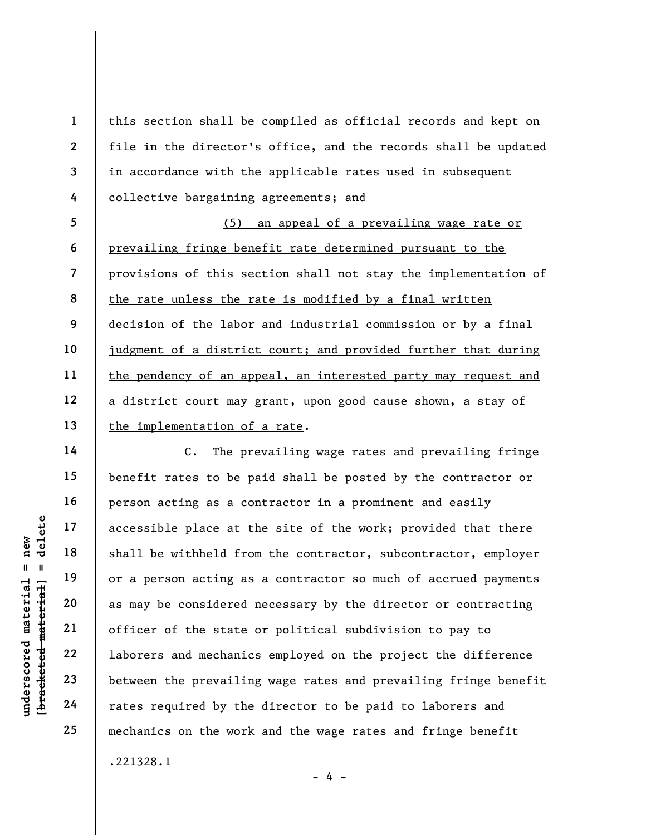this section shall be compiled as official records and kept on file in the director's office, and the records shall be updated in accordance with the applicable rates used in subsequent collective bargaining agreements; and

5 6 7 8 9 10 11 12 13 (5) an appeal of a prevailing wage rate or prevailing fringe benefit rate determined pursuant to the provisions of this section shall not stay the implementation of the rate unless the rate is modified by a final written decision of the labor and industrial commission or by a final judgment of a district court; and provided further that during the pendency of an appeal, an interested party may request and a district court may grant, upon good cause shown, a stay of the implementation of a rate.

underschied material engines are to the state<br>
with the shall be withheld from the state<br>
with the state<br>
with the state<br>
21<br>
22<br>
23<br>
24<br>
24<br>
24<br>
22<br>
24<br>
24<br>
22<br>
24<br>
22<br>
24<br>
22<br>
24<br>
22<br>
24<br>
22<br>
24<br>
22<br>
24<br>
22<br>
24<br>
22<br>
24<br> C. The prevailing wage rates and prevailing fringe benefit rates to be paid shall be posted by the contractor or person acting as a contractor in a prominent and easily accessible place at the site of the work; provided that there shall be withheld from the contractor, subcontractor, employer or a person acting as a contractor so much of accrued payments as may be considered necessary by the director or contracting officer of the state or political subdivision to pay to laborers and mechanics employed on the project the difference between the prevailing wage rates and prevailing fringe benefit rates required by the director to be paid to laborers and mechanics on the work and the wage rates and fringe benefit .221328.1

- 4 -

1

2

3

4

14

15

16

17

18

19

20

21

22

23

24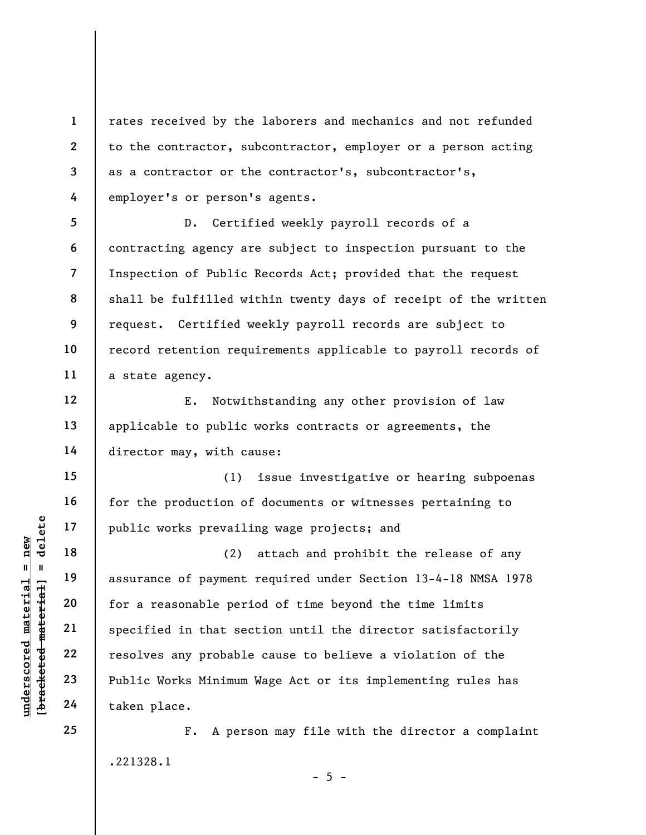rates received by the laborers and mechanics and not refunded to the contractor, subcontractor, employer or a person acting as a contractor or the contractor's, subcontractor's, employer's or person's agents.

5 6 7 8 9 10 11 D. Certified weekly payroll records of a contracting agency are subject to inspection pursuant to the Inspection of Public Records Act; provided that the request shall be fulfilled within twenty days of receipt of the written request. Certified weekly payroll records are subject to record retention requirements applicable to payroll records of a state agency.

E. Notwithstanding any other provision of law applicable to public works contracts or agreements, the director may, with cause:

(1) issue investigative or hearing subpoenas for the production of documents or witnesses pertaining to public works prevailing wage projects; and

under 17<br>
= 18<br>
= 19<br>
= 19<br>
= 19<br>
= 19<br>
= 19<br>
= 19<br>
= 19<br>
= 19<br>
= 19<br>
= 19<br>
= 19<br>
= 19<br>
= 19<br>
= 19<br>
= 19<br>
= 19<br>
= 19<br>
= 19<br>
= 19<br>
= 19<br>
= 19<br>
= 19<br>
= 19<br>
= 19<br>
= 19<br>
= 19<br>
= 19<br>
= 19<br>
= 19<br>
= 19<br>
= 19<br>
= 19<br>
= 19<br>
= 19<br>
= (2) attach and prohibit the release of any assurance of payment required under Section 13-4-18 NMSA 1978 for a reasonable period of time beyond the time limits specified in that section until the director satisfactorily resolves any probable cause to believe a violation of the Public Works Minimum Wage Act or its implementing rules has taken place.

> F. A person may file with the director a complaint .221328.1

> > $- 5 -$

1

2

3

4

12

13

14

15

16

17

18

19

20

21

22

23

24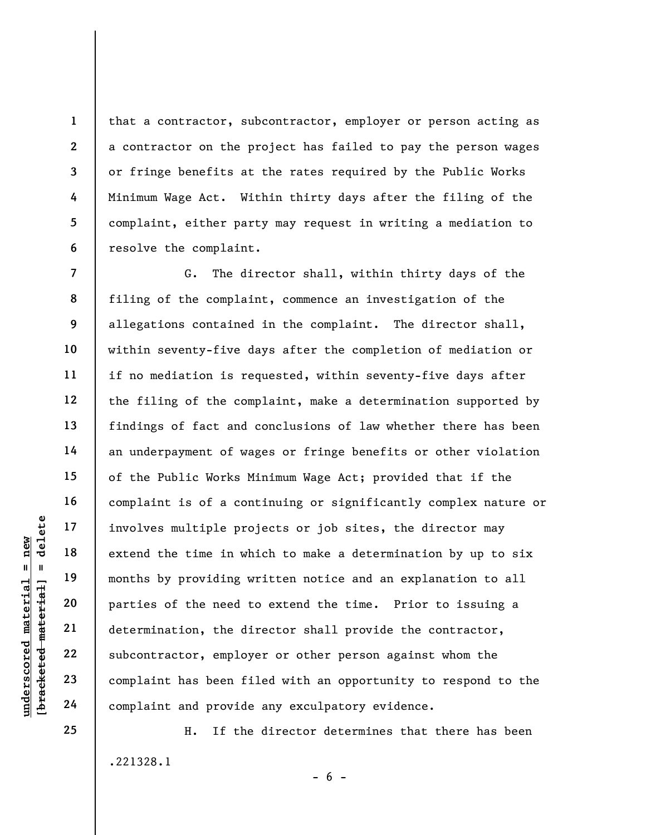that a contractor, subcontractor, employer or person acting as a contractor on the project has failed to pay the person wages or fringe benefits at the rates required by the Public Works Minimum Wage Act. Within thirty days after the filing of the complaint, either party may request in writing a mediation to resolve the complaint.

underscored material = new [bracketed material] = delete 8 12 G. The director shall, within thirty days of the filing of the complaint, commence an investigation of the allegations contained in the complaint. The director shall, within seventy-five days after the completion of mediation or if no mediation is requested, within seventy-five days after the filing of the complaint, make a determination supported by findings of fact and conclusions of law whether there has been an underpayment of wages or fringe benefits or other violation of the Public Works Minimum Wage Act; provided that if the complaint is of a continuing or significantly complex nature or involves multiple projects or job sites, the director may extend the time in which to make a determination by up to six months by providing written notice and an explanation to all parties of the need to extend the time. Prior to issuing a determination, the director shall provide the contractor, subcontractor, employer or other person against whom the complaint has been filed with an opportunity to respond to the complaint and provide any exculpatory evidence.

> H. If the director determines that there has been .221328.1  $- 6 -$

25

1

2

3

4

5

6

7

9

10

11

13

14

15

16

17

18

19

20

21

22

23